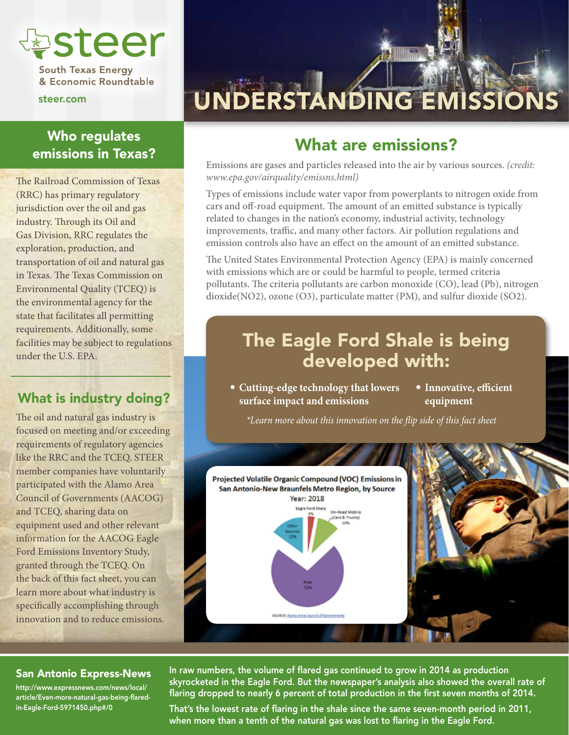

**South Texas Energy** & Economic Roundtable

steer.com

### Who regulates emissions in Texas?

The Railroad Commission of Texas (RRC) has primary regulatory jurisdiction over the oil and gas industry. Through its Oil and Gas Division, RRC regulates the exploration, production, and transportation of oil and natural gas in Texas. The Texas Commission on Environmental Quality (TCEQ) is the environmental agency for the state that facilitates all permitting requirements. Additionally, some facilities may be subject to regulations under the U.S. EPA.

### What is industry doing?

The oil and natural gas industry is focused on meeting and/or exceeding requirements of regulatory agencies like the RRC and the TCEQ. STEER member companies have voluntarily participated with the Alamo Area Council of Governments (AACOG) and TCEQ, sharing data on equipment used and other relevant information for the AACOG Eagle Ford Emissions Inventory Study, granted through the TCEQ. On the back of this fact sheet, you can learn more about what industry is specifically accomplishing through innovation and to reduce emissions.

## UNDERSTANDING EMISSIONS

## What are emissions?

Emissions are gases and particles released into the air by various sources. *(credit: www.epa.gov/airquality/emissns.html)*

Types of emissions include water vapor from powerplants to nitrogen oxide from cars and off-road equipment. The amount of an emitted substance is typically related to changes in the nation's economy, industrial activity, technology improvements, traffic, and many other factors. Air pollution regulations and emission controls also have an effect on the amount of an emitted substance.

The United States Environmental Protection Agency (EPA) is mainly concerned with emissions which are or could be harmful to people, termed criteria pollutants. The criteria pollutants are carbon monoxide (CO), lead (Pb), nitrogen dioxide(NO2), ozone (O3), particulate matter (PM), and sulfur dioxide (SO2).

## The Eagle Ford Shale is being developed with:

- **Cutting-edge technology that lowers surface impact and emissions**
- **Innovative, efficient equipment**

*\*Learn more about this innovation on the flip side of this fact sheet*



#### San Antonio Express-News

http://www.expressnews.com/news/local/ article/Even-more-natural-gas-being-flaredin-Eagle-Ford-5971450.php#/0

In raw numbers, the volume of flared gas continued to grow in 2014 as production skyrocketed in the Eagle Ford. But the newspaper's analysis also showed the overall rate of flaring dropped to nearly 6 percent of total production in the first seven months of 2014.

That's the lowest rate of flaring in the shale since the same seven-month period in 2011, when more than a tenth of the natural gas was lost to flaring in the Eagle Ford.